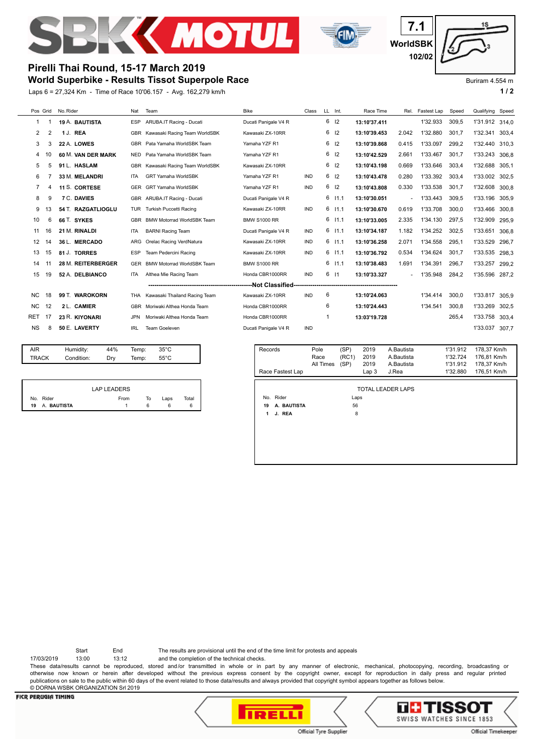



**WorldSBK 7.1 102/02**

# **Pirelli Thai Round, 15-17 March 2019**

# **World Superbike - Results Tissot Superpole Race**

Laps 6 = 27,324 Km - Time of Race 10'06.157 - Avg. 162,279 km/h **1 / 2**



### Buriram 4.554 m

| Pos Grid   |    | No. Rider          | Nat        | Team                              | <b>Bike</b>          | Class      |   | LL Int.         | Race Time    | Rel.   | Fastest Lap | Speed | Qualifying | Speed |
|------------|----|--------------------|------------|-----------------------------------|----------------------|------------|---|-----------------|--------------|--------|-------------|-------|------------|-------|
| 1          |    | 19 A. BAUTISTA     | <b>ESP</b> | ARUBA.IT Racing - Ducati          | Ducati Panigale V4 R |            | 6 | 12              | 13:10'37.411 |        | 1'32.933    | 309,5 | 1'31.912   | 314.0 |
| 2          | 2  | 1 J. REA           | <b>GBR</b> | Kawasaki Racing Team WorldSBK     | Kawasaki ZX-10RR     |            | 6 | 12              | 13:10'39.453 | 2.042  | 1'32.880    | 301.7 | 1'32.341   | 303,4 |
| 3          |    | 22 A. LOWES        | <b>GBR</b> | Pata Yamaha WorldSBK Team         | Yamaha YZF R1        |            | 6 | 12              | 13:10'39.868 | 0.415  | 1'33.097    | 299,2 | 1'32.440   | 310.3 |
| 4          | 10 | 60 M. VAN DER MARK | NED.       | Pata Yamaha WorldSBK Team         | Yamaha YZF R1        |            | 6 | 2               | 13:10'42.529 | 2.661  | 1'33.467    | 301.7 | 1'33.243   | 306,8 |
| 5          | 5  | 91 L. HASLAM       | GBR        | Kawasaki Racing Team WorldSBK     | Kawasaki ZX-10RR     |            | 6 | 2               | 13:10'43.198 | 0.669  | 1'33.646    | 303,4 | 1'32.688   | 305.1 |
| 6          |    | 33 M. MELANDRI     | <b>ITA</b> | <b>GRT Yamaha WorldSBK</b>        | Yamaha YZF R1        | <b>IND</b> | 6 | 12              | 13:10'43.478 | 0.280  | 1'33.392    | 303,4 | 1'33.002   | 302.5 |
| 7          | Δ  | 11 S. CORTESE      | <b>GER</b> | <b>GRT Yamaha WorldSBK</b>        | Yamaha YZF R1        | <b>IND</b> | 6 | 12              | 13:10'43.808 | 0.330  | 1'33.538    | 301.7 | 1'32.608   | 300.8 |
| 8          | 9  | 7 C. DAVIES        |            | GBR ARUBA.IT Racing - Ducati      | Ducati Panigale V4 R |            | 6 | 11.1            | 13:10'30.051 | $\sim$ | 1'33.443    | 309.5 | 1'33.196   | 305.9 |
| 9          | 13 | 54 T. RAZGATLIOGLU | TUR        | Turkish Puccetti Racing           | Kawasaki ZX-10RR     | <b>IND</b> | 6 | 11.1            | 13:10'30.670 | 0.619  | 1'33.708    | 300.0 | 1'33.466   | 300.8 |
| 10         | 6  | 66 T. SYKES        | <b>GBR</b> | <b>BMW Motorrad WorldSBK Team</b> | <b>BMW S1000 RR</b>  |            |   | $6$ $11.1$      | 13:10'33.005 | 2.335  | 1'34.130    | 297,5 | 1'32.909   | 295,9 |
| 11         | 16 | 21 M. RINALDI      | <b>ITA</b> | <b>BARNI Racing Team</b>          | Ducati Panigale V4 R | <b>IND</b> | 6 | 11.1            | 13:10'34.187 | 1.182  | 1'34.252    | 302,5 | 1'33.651   | 306,8 |
| 12         | 14 | 36 L. MERCADO      | ARG        | Orelac Racing VerdNatura          | Kawasaki ZX-10RR     | IND        |   | $6$ $11.1$      | 13:10'36.258 | 2.071  | 1'34.558    | 295,1 | 1'33.529   | 296,7 |
| 13         | 15 | 81 J. TORRES       | <b>ESP</b> | Team Pedercini Racing             | Kawasaki ZX-10RR     | <b>IND</b> | 6 | 11.1            | 13:10'36.792 | 0.534  | 1'34.624    | 301.7 | 1'33.535   | 298,3 |
| 14         |    | 28 M. REITERBERGER | <b>GER</b> | <b>BMW Motorrad WorldSBK Team</b> | <b>BMW S1000 RR</b>  |            |   | $6$ $11.1$      | 13:10'38.483 | 1.691  | 1'34.391    | 296,7 | 1'33.257   | 299.2 |
| 15         | 19 | 52 A. DELBIANCO    | <b>ITA</b> | Althea Mie Racing Team            | Honda CBR1000RR      | <b>IND</b> | 6 | $\overline{11}$ | 13:10'33.327 |        | 1'35.948    | 284,2 | 1'35.596   | 287,2 |
|            |    |                    |            |                                   |                      |            |   |                 |              |        |             |       |            |       |
| <b>NC</b>  | 18 | 99 T. WAROKORN     | THA        | Kawasaki Thailand Racing Team     | Kawasaki ZX-10RR     | <b>IND</b> | 6 |                 | 13:10'24.063 |        | 1'34.414    | 300,0 | 1'33.817   | 305,9 |
| <b>NC</b>  | 12 | 2 L. CAMIER        | <b>GBR</b> | Moriwaki Althea Honda Team        | Honda CBR1000RR      |            | 6 |                 | 13:10'24.443 |        | 1'34.541    | 300.8 | 1'33.269   | 302,5 |
| <b>RET</b> | 17 | 23 R. KIYONARI     | <b>JPN</b> | Moriwaki Althea Honda Team        | Honda CBR1000RR      |            |   |                 | 13:03'19.728 |        |             | 265,4 | 1'33.758   | 303,4 |
| <b>NS</b>  | 8  | 50 E. LAVERTY      | <b>IRL</b> | <b>Team Goeleven</b>              | Ducati Panigale V4 R | <b>IND</b> |   |                 |              |        |             |       | 1'33.037   | 307,7 |

| AIR          | Humidity:  | 44% | Temp: | $35^{\circ}$ C |  |
|--------------|------------|-----|-------|----------------|--|
| <b>TRACK</b> | Condition: | Drv | Temp: | $55^{\circ}$ C |  |
|              |            |     |       |                |  |

|                | LAP LEADERS |    |      |       |
|----------------|-------------|----|------|-------|
| No. Rider      | From        | To | Laps | Total |
| 19 A. BAUTISTA |             |    |      |       |

| Records                  | Pole<br>Race<br>All Times | (SP)<br>(RC1)<br>(SP) | 2019<br>2019<br>2019 | A.Bautista<br>A.Bautista<br>A.Bautista | 1'31.912<br>1'32.724<br>1'31.912 | 178,37 Km/h<br>176,81 Km/h<br>178,37 Km/h |  |  |  |  |
|--------------------------|---------------------------|-----------------------|----------------------|----------------------------------------|----------------------------------|-------------------------------------------|--|--|--|--|
| Race Fastest Lap         |                           |                       | Lap <sub>3</sub>     | J.Rea                                  | 1'32.880                         | 176.51 Km/h                               |  |  |  |  |
|                          |                           |                       |                      |                                        |                                  |                                           |  |  |  |  |
| <b>TOTAL LEADER LAPS</b> |                           |                       |                      |                                        |                                  |                                           |  |  |  |  |
| No. Rider                |                           | Laps                  |                      |                                        |                                  |                                           |  |  |  |  |
| A. BAUTISTA<br>19        |                           | 56                    |                      |                                        |                                  |                                           |  |  |  |  |
| J. REA<br>1              |                           | 8                     |                      |                                        |                                  |                                           |  |  |  |  |
|                          |                           |                       |                      |                                        |                                  |                                           |  |  |  |  |
|                          |                           |                       |                      |                                        |                                  |                                           |  |  |  |  |
|                          |                           |                       |                      |                                        |                                  |                                           |  |  |  |  |

Start End The results are provisional until the end of the time limit for protests and appeals

17/03/2019 13:00 13:12 and the completion of the technical checks.

These data/results cannot be reproduced, stored and/or transmitted in whole or in part by any manner of electronic, mechanical, photocopying, recording, broadcasting or otherwise now known or herein after developed without the previous express consent by the copyright owner, except for reproduction in daily press and regular printed publications on sale to the public within 60 days of the event related to those data/results and always provided that copyright symbol appears together as follows below. © DORNA WSBK ORGANIZATION Srl 2019

### **FICR PERUGIA TIMING**